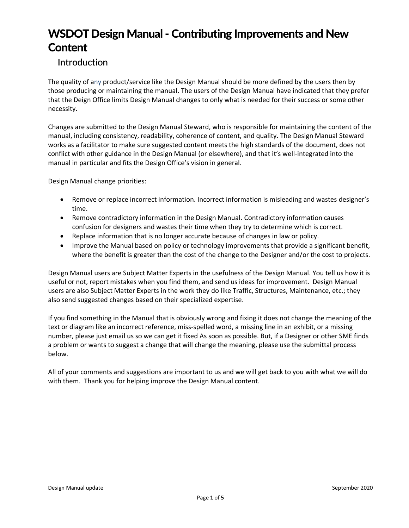# WSDOT Design Manual - Contributing Improvements and New **Content**

#### Introduction

The quality of any product/service like the Design Manual should be more defined by the users then by those producing or maintaining the manual. The users of the Design Manual have indicated that they prefer that the Deign Office limits Design Manual changes to only what is needed for their success or some other necessity.

Changes are submitted to the Design Manual Steward, who is responsible for maintaining the content of the manual, including consistency, readability, coherence of content, and quality. The Design Manual Steward works as a facilitator to make sure suggested content meets the high standards of the document, does not conflict with other guidance in the Design Manual (or elsewhere), and that it's well-integrated into the manual in particular and fits the Design Office's vision in general.

Design Manual change priorities:

- Remove or replace incorrect information. Incorrect information is misleading and wastes designer's time.
- Remove contradictory information in the Design Manual. Contradictory information causes confusion for designers and wastes their time when they try to determine which is correct.
- Replace information that is no longer accurate because of changes in law or policy.
- Improve the Manual based on policy or technology improvements that provide a significant benefit, where the benefit is greater than the cost of the change to the Designer and/or the cost to projects.

Design Manual users are Subject Matter Experts in the usefulness of the Design Manual. You tell us how it is useful or not, report mistakes when you find them, and send us ideas for improvement. Design Manual users are also Subject Matter Experts in the work they do like Traffic, Structures, Maintenance, etc.; they also send suggested changes based on their specialized expertise.

If you find something in the Manual that is obviously wrong and fixing it does not change the meaning of the text or diagram like an incorrect reference, miss-spelled word, a missing line in an exhibit, or a missing number, please just email us so we can get it fixed As soon as possible. But, if a Designer or other SME finds a problem or wants to suggest a change that will change the meaning, please use the submittal process below.

All of your comments and suggestions are important to us and we will get back to you with what we will do with them. Thank you for helping improve the Design Manual content.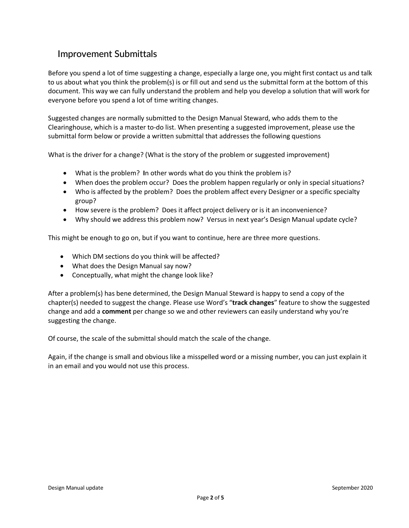#### Improvement Submittals

Before you spend a lot of time suggesting a change, especially a large one, you might first contact us and talk to us about what you think the problem(s) is or fill out and send us the submittal form at the bottom of this document. This way we can fully understand the problem and help you develop a solution that will work for everyone before you spend a lot of time writing changes.

Suggested changes are normally submitted to the Design Manual Steward, who adds them to the Clearinghouse, which is a master to-do list. When presenting a suggested improvement, please use the submittal form below or provide a written submittal that addresses the following questions

What is the driver for a change? (What is the story of the problem or suggested improvement)

- What is the problem? **I**n other words what do you think the problem is?
- When does the problem occur? Does the problem happen regularly or only in special situations?
- Who is affected by the problem? Does the problem affect every Designer or a specific specialty group?
- How severe is the problem? Does it affect project delivery or is it an inconvenience?
- Why should we address this problem now? Versus in next year's Design Manual update cycle?

This might be enough to go on, but if you want to continue, here are three more questions.

- Which DM sections do you think will be affected?
- What does the Design Manual say now?
- Conceptually, what might the change look like?

After a problem(s) has bene determined, the Design Manual Steward is happy to send a copy of the chapter(s) needed to suggest the change. Please use Word's "**track changes**" feature to show the suggested change and add a **comment** per change so we and other reviewers can easily understand why you're suggesting the change.

Of course, the scale of the submittal should match the scale of the change.

Again, if the change is small and obvious like a misspelled word or a missing number, you can just explain it in an email and you would not use this process.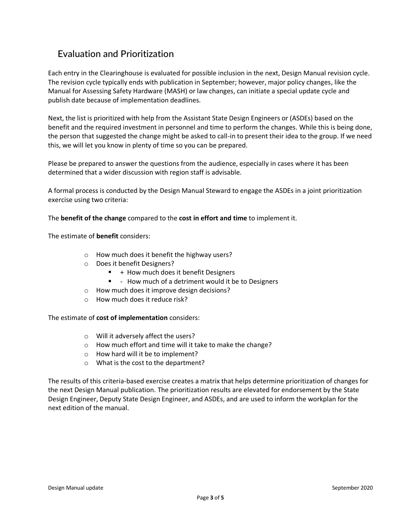### Evaluation and Prioritization

Each entry in the Clearinghouse is evaluated for possible inclusion in the next, Design Manual revision cycle. The revision cycle typically ends with publication in September; however, major policy changes, like the Manual for Assessing Safety Hardware (MASH) or law changes, can initiate a special update cycle and publish date because of implementation deadlines.

Next, the list is prioritized with help from the Assistant State Design Engineers or (ASDEs) based on the benefit and the required investment in personnel and time to perform the changes. While this is being done, the person that suggested the change might be asked to call-in to present their idea to the group. If we need this, we will let you know in plenty of time so you can be prepared.

Please be prepared to answer the questions from the audience, especially in cases where it has been determined that a wider discussion with region staff is advisable.

A formal process is conducted by the Design Manual Steward to engage the ASDEs in a joint prioritization exercise using two criteria:

The **benefit of the change** compared to the **cost in effort and time** to implement it.

The estimate of **benefit** considers:

- o How much does it benefit the highway users?
- o Does it benefit Designers?
	- $+$  How much does it benefit Designers
	- - How much of a detriment would it be to Designers
- o How much does it improve design decisions?
- o How much does it reduce risk?

The estimate of **cost of implementation** considers:

- o Will it adversely affect the users?
- o How much effort and time will it take to make the change?
- o How hard will it be to implement?
- o What is the cost to the department?

The results of this criteria-based exercise creates a matrix that helps determine prioritization of changes for the next Design Manual publication. The prioritization results are elevated for endorsement by the State Design Engineer, Deputy State Design Engineer, and ASDEs, and are used to inform the workplan for the next edition of the manual.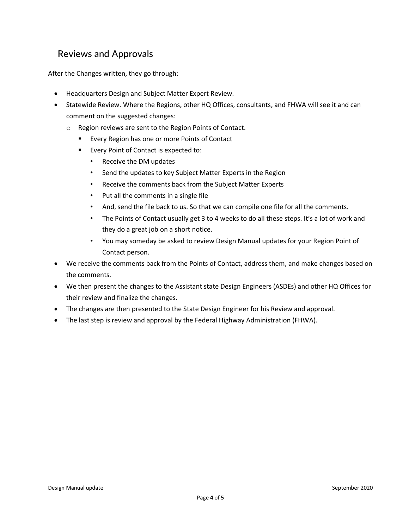### Reviews and Approvals

After the Changes written, they go through:

- Headquarters Design and Subject Matter Expert Review.
- Statewide Review. Where the Regions, other HQ Offices, consultants, and FHWA will see it and can comment on the suggested changes:
	- o Region reviews are sent to the Region Points of Contact.
		- **E** Every Region has one or more Points of Contact
		- **Every Point of Contact is expected to:** 
			- Receive the DM updates
			- Send the updates to key Subject Matter Experts in the Region
			- Receive the comments back from the Subject Matter Experts
			- Put all the comments in a single file
			- And, send the file back to us. So that we can compile one file for all the comments.
			- The Points of Contact usually get 3 to 4 weeks to do all these steps. It's a lot of work and they do a great job on a short notice.
			- You may someday be asked to review Design Manual updates for your Region Point of Contact person.
- We receive the comments back from the Points of Contact, address them, and make changes based on the comments.
- We then present the changes to the Assistant state Design Engineers (ASDEs) and other HQ Offices for their review and finalize the changes.
- The changes are then presented to the State Design Engineer for his Review and approval.
- The last step is review and approval by the Federal Highway Administration (FHWA).